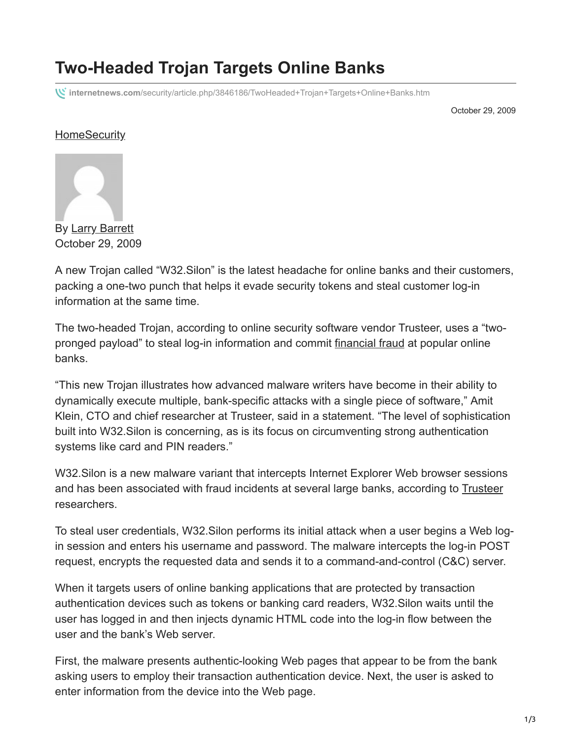## **Two-Headed Trojan Targets Online Banks**

**internetnews.com**[/security/article.php/3846186/TwoHeaded+Trojan+Targets+Online+Banks.htm](http://www.internetnews.com/security/article.php/3846186/TwoHeaded+Trojan+Targets+Online+Banks.htm)

October 29, 2009

## **[Home](https://www.internetnews.com/)[Security](https://www.internetnews.com/security/)**



October 29, 2009

A new Trojan called "W32.Silon" is the latest headache for online banks and their customers, packing a one-two punch that helps it evade security tokens and steal customer log-in information at the same time.

The two-headed Trojan, according to online security software vendor Trusteer, uses a "twopronged payload" to steal log-in information and commit [financial fraud](http://www.internetnews.com/security/article.php/3842851) at popular online banks.

"This new Trojan illustrates how advanced malware writers have become in their ability to dynamically execute multiple, bank-specific attacks with a single piece of software," Amit Klein, CTO and chief researcher at Trusteer, said in a statement. "The level of sophistication built into W32.Silon is concerning, as is its focus on circumventing strong authentication systems like card and PIN readers."

W32.Silon is a new malware variant that intercepts Internet Explorer Web browser sessions and has been associated with fraud incidents at several large banks, according to [Trusteer](http://www.trusteer.com/) researchers.

To steal user credentials, W32.Silon performs its initial attack when a user begins a Web login session and enters his username and password. The malware intercepts the log-in POST request, encrypts the requested data and sends it to a command-and-control (C&C) server.

When it targets users of online banking applications that are protected by transaction authentication devices such as tokens or banking card readers, W32.Silon waits until the user has logged in and then injects dynamic HTML code into the log-in flow between the user and the bank's Web server.

First, the malware presents authentic-looking Web pages that appear to be from the bank asking users to employ their transaction authentication device. Next, the user is asked to enter information from the device into the Web page.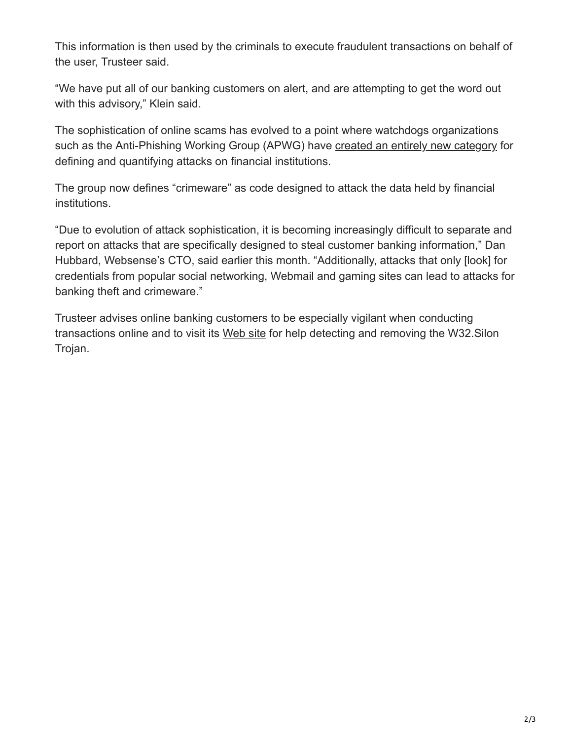This information is then used by the criminals to execute fraudulent transactions on behalf of the user, Trusteer said.

"We have put all of our banking customers on alert, and are attempting to get the word out with this advisory," Klein said.

The sophistication of online scams has evolved to a point where watchdogs organizations such as the Anti-Phishing Working Group (APWG) have [created an entirely new category](http://www.internetnews.com/security/article.php/3840921) for defining and quantifying attacks on financial institutions.

The group now defines "crimeware" as code designed to attack the data held by financial institutions.

"Due to evolution of attack sophistication, it is becoming increasingly difficult to separate and report on attacks that are specifically designed to steal customer banking information," Dan Hubbard, Websense's CTO, said earlier this month. "Additionally, attacks that only [look] for credentials from popular social networking, Webmail and gaming sites can lead to attacks for banking theft and crimeware."

Trusteer advises online banking customers to be especially vigilant when conducting transactions online and to visit its [Web site](http://www.trusteer.com/) for help detecting and removing the W32. Silon Trojan.